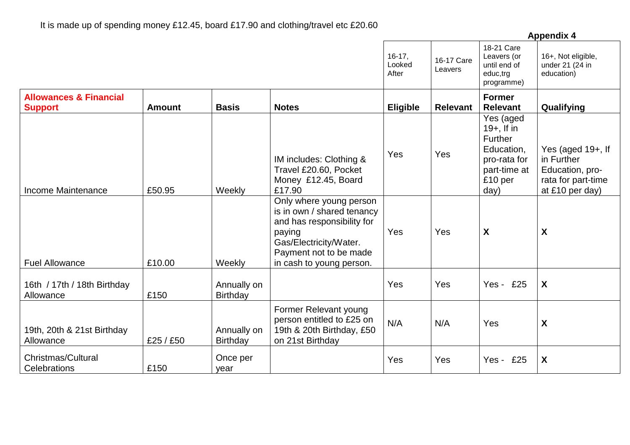|                                                     |               |                                |                                                                                                                                                                               | <b>Appendix 4</b>           |                       |                                                                                                        |                                                                                             |  |  |
|-----------------------------------------------------|---------------|--------------------------------|-------------------------------------------------------------------------------------------------------------------------------------------------------------------------------|-----------------------------|-----------------------|--------------------------------------------------------------------------------------------------------|---------------------------------------------------------------------------------------------|--|--|
|                                                     |               |                                |                                                                                                                                                                               | $16-17,$<br>Looked<br>After | 16-17 Care<br>Leavers | 18-21 Care<br>Leavers (or<br>until end of<br>educ,trg<br>programme)                                    | 16+, Not eligible,<br>under 21 (24 in<br>education)                                         |  |  |
| <b>Allowances &amp; Financial</b><br><b>Support</b> | <b>Amount</b> | <b>Basis</b>                   | <b>Notes</b>                                                                                                                                                                  | <b>Eligible</b>             | <b>Relevant</b>       | <b>Former</b><br><b>Relevant</b>                                                                       | Qualifying                                                                                  |  |  |
| Income Maintenance                                  | £50.95        | Weekly                         | IM includes: Clothing &<br>Travel £20.60, Pocket<br>Money £12.45, Board<br>£17.90                                                                                             | Yes                         | Yes                   | Yes (aged<br>$19+$ , If in<br>Further<br>Education,<br>pro-rata for<br>part-time at<br>£10 per<br>day) | Yes (aged 19+, If<br>in Further<br>Education, pro-<br>rata for part-time<br>at £10 per day) |  |  |
| <b>Fuel Allowance</b>                               | £10.00        | Weekly                         | Only where young person<br>is in own / shared tenancy<br>and has responsibility for<br>paying<br>Gas/Electricity/Water.<br>Payment not to be made<br>in cash to young person. | Yes                         | Yes                   | X                                                                                                      | $\boldsymbol{X}$                                                                            |  |  |
| 16th / 17th / 18th Birthday<br>Allowance            | £150          | Annually on<br><b>Birthday</b> |                                                                                                                                                                               | Yes                         | Yes                   | Yes - £25                                                                                              | X                                                                                           |  |  |
| 19th, 20th & 21st Birthday<br>Allowance             | £25 / £50     | Annually on<br><b>Birthday</b> | Former Relevant young<br>person entitled to £25 on<br>19th & 20th Birthday, £50<br>on 21st Birthday                                                                           | N/A                         | N/A                   | Yes                                                                                                    | $\boldsymbol{\mathsf{X}}$                                                                   |  |  |
| <b>Christmas/Cultural</b><br>Celebrations           | £150          | Once per<br>year               |                                                                                                                                                                               | Yes                         | Yes                   | Yes -<br>£25                                                                                           | X                                                                                           |  |  |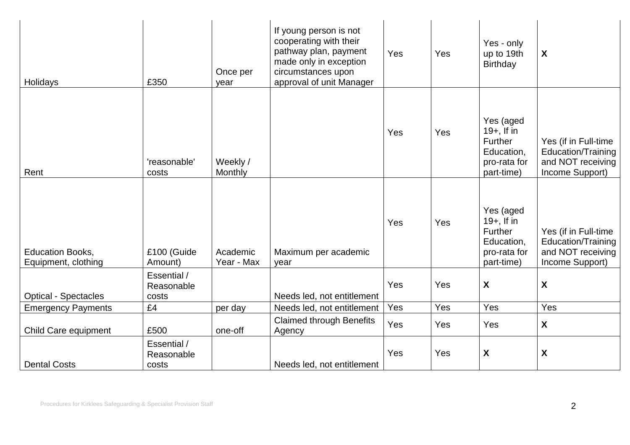| Holidays                                       | £350                               | Once per<br>year       | If young person is not<br>cooperating with their<br>pathway plan, payment<br>made only in exception<br>circumstances upon<br>approval of unit Manager | Yes | Yes | Yes - only<br>up to 19th<br>Birthday                                              | X                                                                                  |
|------------------------------------------------|------------------------------------|------------------------|-------------------------------------------------------------------------------------------------------------------------------------------------------|-----|-----|-----------------------------------------------------------------------------------|------------------------------------------------------------------------------------|
| Rent                                           | 'reasonable'<br>costs              | Weekly /<br>Monthly    |                                                                                                                                                       | Yes | Yes | Yes (aged<br>$19+$ , If in<br>Further<br>Education,<br>pro-rata for<br>part-time) | Yes (if in Full-time<br>Education/Training<br>and NOT receiving<br>Income Support) |
| <b>Education Books,</b><br>Equipment, clothing | £100 (Guide<br>Amount)             | Academic<br>Year - Max | Maximum per academic<br>year                                                                                                                          | Yes | Yes | Yes (aged<br>$19+$ , If in<br>Further<br>Education,<br>pro-rata for<br>part-time) | Yes (if in Full-time<br>Education/Training<br>and NOT receiving<br>Income Support) |
| <b>Optical - Spectacles</b>                    | Essential /<br>Reasonable<br>costs |                        | Needs led, not entitlement                                                                                                                            | Yes | Yes | $\boldsymbol{X}$                                                                  | $\boldsymbol{X}$                                                                   |
| <b>Emergency Payments</b>                      | £4                                 | per day                | Needs led, not entitlement                                                                                                                            | Yes | Yes | Yes                                                                               | Yes                                                                                |
| Child Care equipment                           | £500                               | one-off                | <b>Claimed through Benefits</b><br>Agency                                                                                                             | Yes | Yes | Yes                                                                               | $\boldsymbol{X}$                                                                   |
| <b>Dental Costs</b>                            | Essential /<br>Reasonable<br>costs |                        | Needs led, not entitlement                                                                                                                            | Yes | Yes | $\boldsymbol{\mathsf{X}}$                                                         | $\boldsymbol{X}$                                                                   |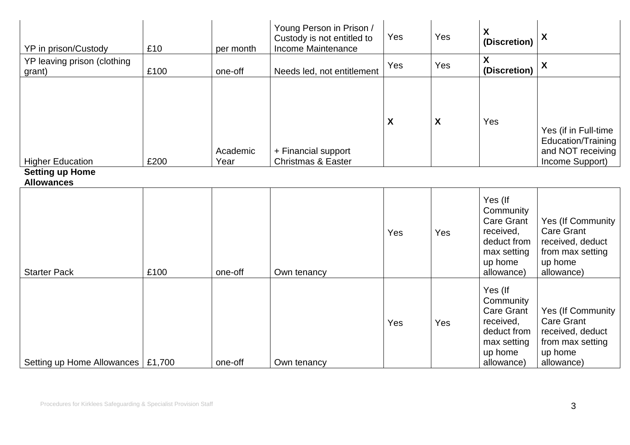| YP in prison/Custody                        | £10  | per month        | Young Person in Prison /<br>Custody is not entitled to<br>Income Maintenance | Yes                       | Yes | X<br>(Discretion)                                                                                             | X                                                                                                       |
|---------------------------------------------|------|------------------|------------------------------------------------------------------------------|---------------------------|-----|---------------------------------------------------------------------------------------------------------------|---------------------------------------------------------------------------------------------------------|
| YP leaving prison (clothing<br>grant)       | £100 | one-off          | Needs led, not entitlement                                                   | Yes                       | Yes | X<br>(Discretion)                                                                                             | $\boldsymbol{\mathsf{X}}$                                                                               |
| <b>Higher Education</b>                     | £200 | Academic<br>Year | + Financial support<br><b>Christmas &amp; Easter</b>                         | $\boldsymbol{\mathsf{X}}$ | X   | Yes                                                                                                           | Yes (if in Full-time<br>Education/Training<br>and NOT receiving<br>Income Support)                      |
| <b>Setting up Home</b><br><b>Allowances</b> |      |                  |                                                                              |                           |     |                                                                                                               |                                                                                                         |
| <b>Starter Pack</b>                         | £100 | one-off          | Own tenancy                                                                  | Yes                       | Yes | Yes (If<br>Community<br><b>Care Grant</b><br>received,<br>deduct from<br>max setting<br>up home<br>allowance) | Yes (If Community<br><b>Care Grant</b><br>received, deduct<br>from max setting<br>up home<br>allowance) |
| Setting up Home Allowances   £1,700         |      | one-off          | Own tenancy                                                                  | Yes                       | Yes | Yes (If<br>Community<br><b>Care Grant</b><br>received,<br>deduct from<br>max setting<br>up home<br>allowance) | Yes (If Community<br><b>Care Grant</b><br>received, deduct<br>from max setting<br>up home<br>allowance) |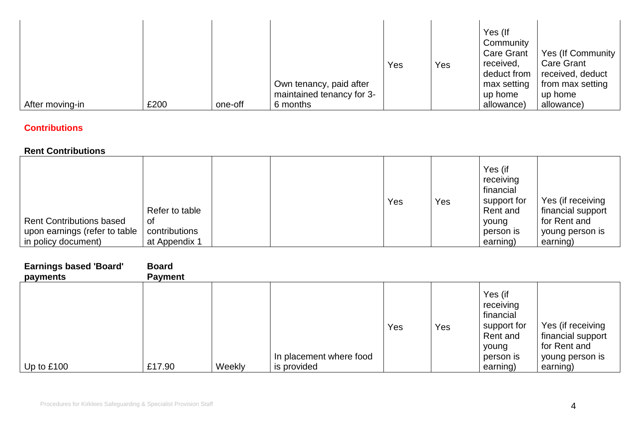|                 |      |         | Own tenancy, paid after<br>maintained tenancy for 3- | Yes | Yes | Yes (If<br>Community<br><b>Care Grant</b><br>received,<br>deduct from<br>max setting<br>up home | Yes (If Community  <br><b>Care Grant</b><br>received, deduct<br>from max setting<br>up home |
|-----------------|------|---------|------------------------------------------------------|-----|-----|-------------------------------------------------------------------------------------------------|---------------------------------------------------------------------------------------------|
| After moving-in | £200 | one-off | 6 months                                             |     |     | allowance)                                                                                      | allowance)                                                                                  |

# **Contributions**

### **Rent Contributions**

|                                 | Refer to table |  | Yes | Yes | Yes (if<br>receiving<br>financial<br>support for<br>Rent and | Yes (if receiving<br>financial support |
|---------------------------------|----------------|--|-----|-----|--------------------------------------------------------------|----------------------------------------|
| <b>Rent Contributions based</b> | 0f             |  |     |     | young                                                        | for Rent and                           |
| upon earnings (refer to table   | contributions  |  |     |     | person is                                                    | young person is                        |
| in policy document)             | at Appendix 1  |  |     |     | earning)                                                     | earning)                               |

| <b>Earnings based 'Board'</b><br>payments | <b>Board</b><br><b>Payment</b> |        |                                        |     |     |                                                                                                |                                                                                       |
|-------------------------------------------|--------------------------------|--------|----------------------------------------|-----|-----|------------------------------------------------------------------------------------------------|---------------------------------------------------------------------------------------|
| Up to $£100$                              | £17.90                         | Weekly | In placement where food<br>is provided | Yes | Yes | Yes (if<br>receiving<br>financial<br>support for<br>Rent and<br>young<br>person is<br>earning) | Yes (if receiving<br>financial support<br>for Rent and<br>young person is<br>earning) |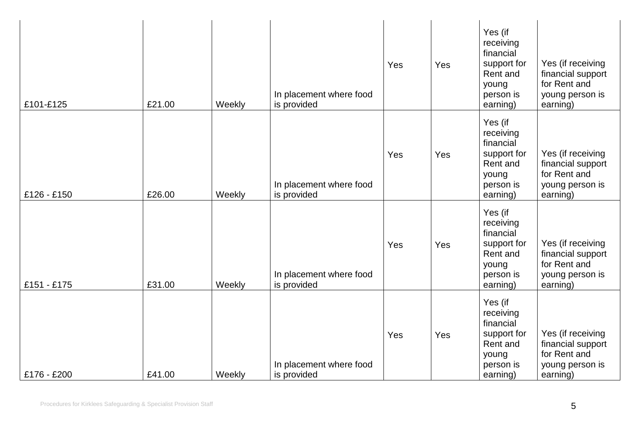| £101-£125   | £21.00 | Weekly | In placement where food<br>is provided | Yes | Yes | Yes (if<br>receiving<br>financial<br>support for<br>Rent and<br>young<br>person is<br>earning) | Yes (if receiving<br>financial support<br>for Rent and<br>young person is<br>earning) |
|-------------|--------|--------|----------------------------------------|-----|-----|------------------------------------------------------------------------------------------------|---------------------------------------------------------------------------------------|
| £126 - £150 | £26.00 | Weekly | In placement where food<br>is provided | Yes | Yes | Yes (if<br>receiving<br>financial<br>support for<br>Rent and<br>young<br>person is<br>earning) | Yes (if receiving<br>financial support<br>for Rent and<br>young person is<br>earning) |
| £151 - £175 | £31.00 | Weekly | In placement where food<br>is provided | Yes | Yes | Yes (if<br>receiving<br>financial<br>support for<br>Rent and<br>young<br>person is<br>earning) | Yes (if receiving<br>financial support<br>for Rent and<br>young person is<br>earning) |
| £176 - £200 | £41.00 | Weekly | In placement where food<br>is provided | Yes | Yes | Yes (if<br>receiving<br>financial<br>support for<br>Rent and<br>young<br>person is<br>earning) | Yes (if receiving<br>financial support<br>for Rent and<br>young person is<br>earning) |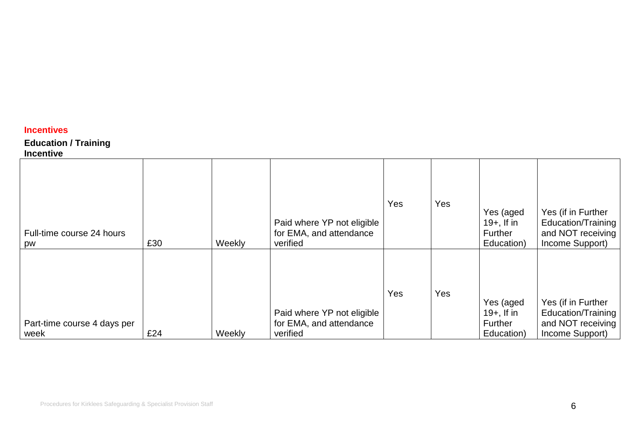## **Incentives**

## **Education / Training**

#### **Incentive**

| Full-time course 24 hours<br>pw     | £30 | Weekly | Paid where YP not eligible<br>for EMA, and attendance<br>verified | Yes | Yes | Yes (aged<br>$19+$ , If in<br>Further<br>Education) | Yes (if in Further<br>Education/Training<br>and NOT receiving<br>Income Support) |
|-------------------------------------|-----|--------|-------------------------------------------------------------------|-----|-----|-----------------------------------------------------|----------------------------------------------------------------------------------|
| Part-time course 4 days per<br>week | £24 | Weekly | Paid where YP not eligible<br>for EMA, and attendance<br>verified | Yes | Yes | Yes (aged<br>$19+$ , If in<br>Further<br>Education) | Yes (if in Further<br>Education/Training<br>and NOT receiving<br>Income Support) |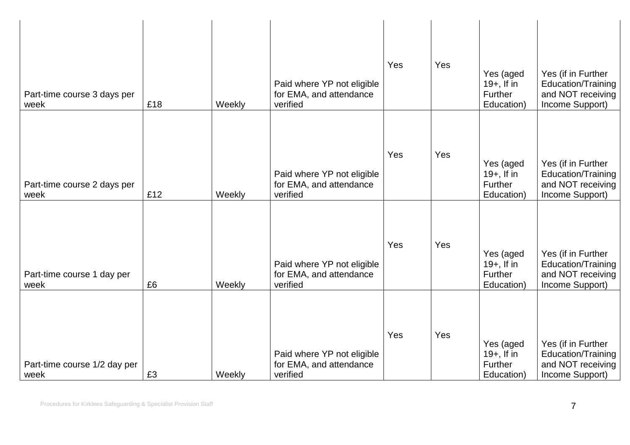| Part-time course 3 days per<br>week  | £18 | Weekly | Paid where YP not eligible<br>for EMA, and attendance<br>verified | Yes | Yes | Yes (aged<br>$19+$ , If in<br>Further<br>Education)        | Yes (if in Further<br>Education/Training<br>and NOT receiving<br>Income Support) |
|--------------------------------------|-----|--------|-------------------------------------------------------------------|-----|-----|------------------------------------------------------------|----------------------------------------------------------------------------------|
| Part-time course 2 days per<br>week  | £12 | Weekly | Paid where YP not eligible<br>for EMA, and attendance<br>verified | Yes | Yes | Yes (aged<br>$19+$ , If in<br><b>Further</b><br>Education) | Yes (if in Further<br>Education/Training<br>and NOT receiving<br>Income Support) |
| Part-time course 1 day per<br>week   | £6  | Weekly | Paid where YP not eligible<br>for EMA, and attendance<br>verified | Yes | Yes | Yes (aged<br>$19+$ , If in<br>Further<br>Education)        | Yes (if in Further<br>Education/Training<br>and NOT receiving<br>Income Support) |
| Part-time course 1/2 day per<br>week | £3  | Weekly | Paid where YP not eligible<br>for EMA, and attendance<br>verified | Yes | Yes | Yes (aged<br>$19+$ , If in<br>Further<br>Education)        | Yes (if in Further<br>Education/Training<br>and NOT receiving<br>Income Support) |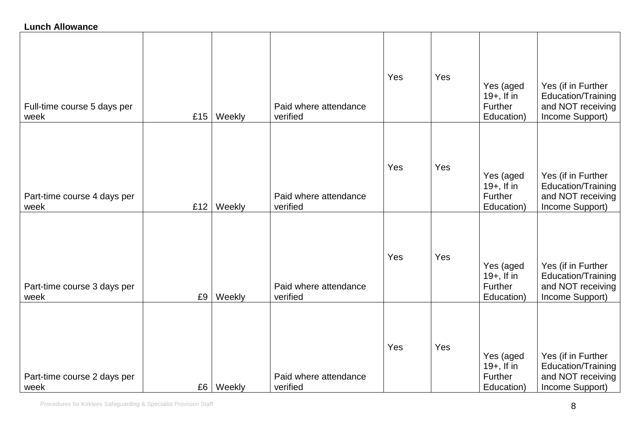## **Lunch Allowance**

| Full-time course 5 days per<br>week | £15 | Weekly      | Paid where attendance<br>verified | Yes | Yes | Yes (aged<br>$19+$ , If in<br>Further<br>Education) | Yes (if in Further<br>Education/Training<br>and NOT receiving<br>Income Support) |
|-------------------------------------|-----|-------------|-----------------------------------|-----|-----|-----------------------------------------------------|----------------------------------------------------------------------------------|
| Part-time course 4 days per<br>week | £12 | Weekly      | Paid where attendance<br>verified | Yes | Yes | Yes (aged<br>$19+$ , If in<br>Further<br>Education) | Yes (if in Further<br>Education/Training<br>and NOT receiving<br>Income Support) |
| Part-time course 3 days per<br>week | £9  | Weekly      | Paid where attendance<br>verified | Yes | Yes | Yes (aged<br>$19+$ , If in<br>Further<br>Education) | Yes (if in Further<br>Education/Training<br>and NOT receiving<br>Income Support) |
| Part-time course 2 days per<br>week |     | £6   Weekly | Paid where attendance<br>verified | Yes | Yes | Yes (aged<br>$19+$ , If in<br>Further<br>Education) | Yes (if in Further<br>Education/Training<br>and NOT receiving<br>Income Support) |

Procedures for Kirklees Safeguarding & Specialist Provision Staff 8 (State 8) and the Special State 8 (State 8 (State 8 (State 8 (State 8 (State 8 (State 8 (State 8 (State 8 (State 8 (State 8 (State 8 (State 8 (State 8 (St